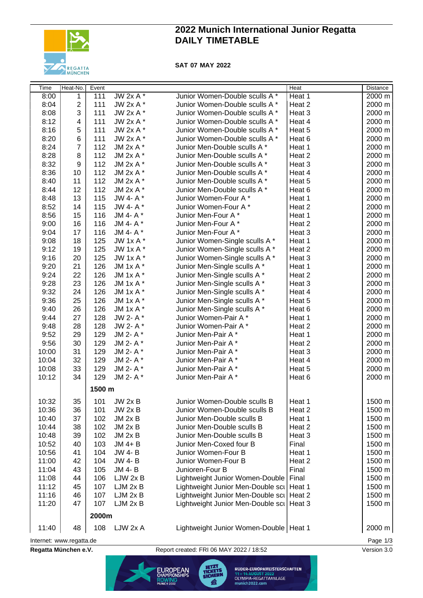

# **2022 Munich International Junior Regatta DAILY TIMETABLE**

**SAT 07 MAY 2022**

| <b>Time</b>                          | Heat-No.         | Event  |                |                                            | Heat   | Distance |  |
|--------------------------------------|------------------|--------|----------------|--------------------------------------------|--------|----------|--|
| 8:00                                 | 1                | 111    | $JW 2x A*$     | Junior Women-Double sculls A *             | Heat 1 | 2000 m   |  |
| 8:04                                 | $\mathbf{2}$     | 111    | JW 2x A *      | Junior Women-Double sculls A *             | Heat 2 | 2000 m   |  |
| 8:08                                 | 3                | 111    | JW 2x A *      | Junior Women-Double sculls A *             | Heat 3 | 2000 m   |  |
| 8:12                                 | 4                | 111    | JW 2x A *      | Junior Women-Double sculls A *             | Heat 4 | 2000 m   |  |
| 8:16                                 | 5                | 111    | JW 2x A *      | Junior Women-Double sculls A *             | Heat 5 | 2000 m   |  |
| 8:20                                 | 6                | 111    | JW 2x A *      | Junior Women-Double sculls A *             | Heat 6 | 2000 m   |  |
| 8:24                                 | $\overline{7}$   | 112    | JM 2x A *      | Junior Men-Double sculls A *               | Heat 1 | 2000 m   |  |
| 8:28                                 | 8                | 112    | JM 2x A *      | Junior Men-Double sculls A *               | Heat 2 | 2000 m   |  |
| 8:32                                 | $\boldsymbol{9}$ | 112    | JM 2x A *      | Junior Men-Double sculls A *               | Heat 3 | 2000 m   |  |
| 8:36                                 | 10               | 112    | JM 2x A *      | Junior Men-Double sculls A *               | Heat 4 | 2000 m   |  |
| 8:40                                 | 11               | 112    | JM 2x A *      | Junior Men-Double sculls A *               | Heat 5 | 2000 m   |  |
| 8:44                                 | 12               | 112    | JM 2x A *      | Junior Men-Double sculls A *               | Heat 6 | 2000 m   |  |
| 8:48                                 | 13               | 115    | JW 4- A*       | Junior Women-Four A*                       | Heat 1 | 2000 m   |  |
| 8:52                                 | 14               | 115    | JW 4- A*       | Junior Women-Four A*                       | Heat 2 | 2000 m   |  |
| 8:56                                 | 15               | 116    | JM 4- A*       | Junior Men-Four A*                         | Heat 1 | 2000 m   |  |
| 9:00                                 | 16               | 116    | JM 4- A*       | Junior Men-Four A*                         | Heat 2 | 2000 m   |  |
| 9:04                                 | 17               | 116    | JM 4- A*       | Junior Men-Four A*                         | Heat 3 | 2000 m   |  |
| 9:08                                 | 18               | 125    | JW 1x A *      | Junior Women-Single sculls A *             | Heat 1 | 2000 m   |  |
| 9:12                                 | 19               | 125    | JW 1x A *      | Junior Women-Single sculls A *             | Heat 2 | 2000 m   |  |
| 9:16                                 | 20               | 125    | JW 1x A *      | Junior Women-Single sculls A *             | Heat 3 | 2000 m   |  |
| 9:20                                 | 21               | 126    | JM $1xA^*$     | Junior Men-Single sculls A *               | Heat 1 | 2000 m   |  |
| 9:24                                 | 22               | 126    | JM 1x A *      | Junior Men-Single sculls A *               | Heat 2 | 2000 m   |  |
| 9:28                                 | 23               | 126    | JM 1x A *      | Junior Men-Single sculls A *               | Heat 3 | 2000 m   |  |
| 9:32                                 | 24               | 126    | JM 1x A *      | Junior Men-Single sculls A *               | Heat 4 | 2000 m   |  |
| 9:36                                 | 25               | 126    | JM 1x A *      | Junior Men-Single sculls A *               | Heat 5 | 2000 m   |  |
| 9:40                                 | 26               | 126    | JM 1x A *      | Junior Men-Single sculls A *               | Heat 6 | 2000 m   |  |
| 9:44                                 | 27               | 128    | JW 2- A*       | Junior Women-Pair A*                       | Heat 1 | 2000 m   |  |
| 9:48                                 | 28               | 128    | JW 2- A*       | Junior Women-Pair A*                       | Heat 2 | 2000 m   |  |
| 9:52                                 | 29               | 129    | JM 2- A*       | Junior Men-Pair A*                         | Heat 1 | 2000 m   |  |
| 9:56                                 | 30               | 129    | JM 2- A*       | Junior Men-Pair A*                         | Heat 2 | 2000 m   |  |
| 10:00                                | 31               | 129    | JM 2- A*       | Junior Men-Pair A*                         | Heat 3 | 2000 m   |  |
| 10:04                                | 32               | 129    | JM 2- A*       | Junior Men-Pair A*                         | Heat 4 | 2000 m   |  |
| 10:08                                | 33               | 129    | JM 2- A*       | Junior Men-Pair A*                         | Heat 5 | 2000 m   |  |
| 10:12                                | 34               | 129    | JM 2- A*       | Junior Men-Pair A*                         | Heat 6 | 2000 m   |  |
|                                      |                  | 1500 m |                |                                            |        |          |  |
| 10:32                                | 35               | 101    | <b>JW 2x B</b> | Junior Women-Double sculls B               | Heat 1 | 1500 m   |  |
| 10:36                                | 36               | 101    | $JW$ 2x $B$    | Junior Women-Double sculls B               | Heat 2 | 1500 m   |  |
| 10:40                                | 37               | 102    | $JM$ 2x $B$    | Junior Men-Double sculls B                 | Heat 1 | 1500 m   |  |
| 10:44                                | 38               | 102    | $JM$ 2x $B$    | Junior Men-Double sculls B                 | Heat 2 | 1500 m   |  |
| 10:48                                | 39               | 102    | $JM$ 2x $B$    | Junior Men-Double sculls B                 | Heat 3 | 1500 m   |  |
| 10:52                                | 40               | 103    | $JM$ 4+ $B$    | Junior Men-Coxed four B                    | Final  | 1500 m   |  |
| 10:56                                | 41               | 104    | <b>JW 4-B</b>  | Junior Women-Four B                        | Heat 1 | 1500 m   |  |
| 11:00                                | 42               | 104    | <b>JW 4-B</b>  | Junior Women-Four B                        | Heat 2 | 1500 m   |  |
| 11:04                                | 43               | 105    | JM 4-B         | Junioren-Four B                            | Final  | 1500 m   |  |
| 11:08                                | 44               | 106    | LJW 2x B       | Lightweight Junior Women-Double            | Final  | 1500 m   |  |
| 11:12                                | 45               | 107    | LJM 2x B       | Lightweight Junior Men-Double sci          | Heat 1 | 1500 m   |  |
| 11:16                                | 46               | 107    | LJM 2x B       | Lightweight Junior Men-Double sci   Heat 2 |        | 1500 m   |  |
| 11:20                                | 47               | 107    | LJM 2x B       | Lightweight Junior Men-Double scil Heat 3  |        | 1500 m   |  |
|                                      |                  | 2000m  |                |                                            |        |          |  |
| 11:40                                | 48               | 108    | LJW 2x A       | Lightweight Junior Women-Double   Heat 1   |        | 2000 m   |  |
| Page 1/3<br>Internet: www.regatta.de |                  |        |                |                                            |        |          |  |

**Regatta München e.V.** Report created: FRI 06 MAY 2022 / 18:52 Version 3.0

**JETZT<br>TICKETS EUROPEAN** ROWING<br>MUNICH 2022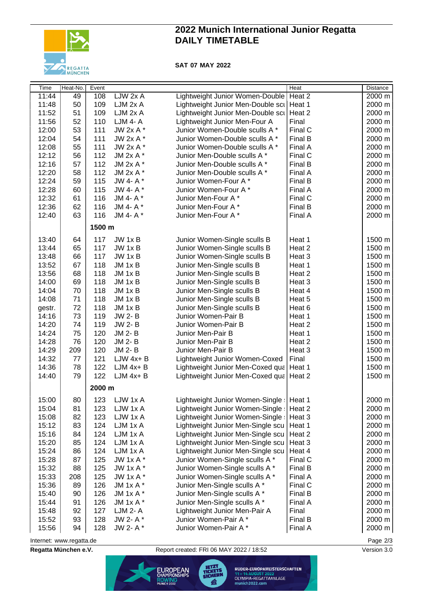

# **2022 Munich International Junior Regatta DAILY TIMETABLE**

### **SAT 07 MAY 2022**

| <b>Time</b> | Heat-No. | Event  |                 |                                            | Heat    | <b>Distance</b>  |
|-------------|----------|--------|-----------------|--------------------------------------------|---------|------------------|
| 11:44       | 49       | 108    | LJW 2x A        | Lightweight Junior Women-Double            | Heat 2  | $2000 \text{ m}$ |
| 11:48       | 50       | 109    | LJM 2x A        | Lightweight Junior Men-Double scil Heat 1  |         | 2000 m           |
| 11:52       | 51       | 109    | LJM 2x A        | Lightweight Junior Men-Double scu          | Heat 2  | 2000 m           |
| 11:56       | 52       | 110    | <b>LJM 4- A</b> | Lightweight Junior Men-Four A              | Final   | 2000 m           |
| 12:00       | 53       | 111    | JW 2x A *       | Junior Women-Double sculls A *             | Final C | 2000 m           |
| 12:04       | 54       | 111    | JW 2x A *       | Junior Women-Double sculls A *             | Final B | 2000 m           |
| 12:08       | 55       | 111    | JW 2x A *       | Junior Women-Double sculls A *             | Final A | 2000 m           |
| 12:12       | 56       | 112    | JM 2x A *       | Junior Men-Double sculls A *               | Final C | 2000 m           |
| 12:16       | 57       | 112    | JM 2x A *       | Junior Men-Double sculls A *               | Final B | 2000 m           |
| 12:20       | 58       | 112    | JM 2x A *       | Junior Men-Double sculls A *               | Final A | 2000 m           |
| 12:24       | 59       | 115    | JW 4- A*        | Junior Women-Four A*                       | Final B | 2000 m           |
| 12:28       | 60       | 115    | JW 4- A *       | Junior Women-Four A*                       | Final A | 2000 m           |
| 12:32       | 61       | 116    | JM 4- A *       | Junior Men-Four A*                         | Final C | 2000 m           |
| 12:36       | 62       | 116    | JM 4- A*        | Junior Men-Four A*                         | Final B | 2000 m           |
| 12:40       | 63       | 116    | JM 4- A*        | Junior Men-Four A*                         | Final A | 2000 m           |
|             |          | 1500 m |                 |                                            |         |                  |
| 13:40       | 64       | 117    | JW 1x B         | Junior Women-Single sculls B               | Heat 1  | 1500 m           |
| 13:44       | 65       | 117    | JW 1x B         | Junior Women-Single sculls B               | Heat 2  | 1500 m           |
| 13:48       | 66       | 117    | JW 1x B         | Junior Women-Single sculls B               | Heat 3  | 1500 m           |
| 13:52       | 67       | 118    | $JM$ 1 $x$ B    | Junior Men-Single sculls B                 | Heat 1  | 1500 m           |
| 13:56       | 68       | 118    | JM 1x B         | Junior Men-Single sculls B                 | Heat 2  | 1500 m           |
| 14:00       | 69       | 118    | $JM$ 1 $x$ B    | Junior Men-Single sculls B                 | Heat 3  | 1500 m           |
| 14:04       | 70       | 118    | JM 1x B         | Junior Men-Single sculls B                 | Heat 4  | 1500 m           |
| 14:08       | 71       | 118    | JM 1x B         | Junior Men-Single sculls B                 | Heat 5  | 1500 m           |
| gestr.      | 72       | 118    | JM 1x B         | Junior Men-Single sculls B                 | Heat 6  | 1500 m           |
| 14:16       | 73       | 119    | <b>JW 2-B</b>   | Junior Women-Pair B                        | Heat 1  | 1500 m           |
| 14:20       | 74       | 119    | <b>JW 2-B</b>   | Junior Women-Pair B                        | Heat 2  | 1500 m           |
| 14:24       | 75       | 120    | JM 2-B          | Junior Men-Pair B                          | Heat 1  | 1500 m           |
| 14:28       | 76       | 120    | JM 2-B          | Junior Men-Pair B                          | Heat 2  | 1500 m           |
| 14:29       | 209      | 120    | JM 2-B          | Junior Men-Pair B                          | Heat 3  | 1500 m           |
| 14:32       | 77       | 121    | $LJW$ 4x+ B     | Lightweight Junior Women-Coxed             | Final   | 1500 m           |
| 14:36       | 78       | 122    | $LJM$ 4x+ $B$   | Lightweight Junior Men-Coxed qua   Heat 1  |         | 1500 m           |
| 14:40       | 79       | 122    | $LJM$ 4x+ $B$   | Lightweight Junior Men-Coxed qua   Heat 2  |         | 1500 m           |
|             |          | 2000 m |                 |                                            |         |                  |
| 15:00       | 80       | 123    | LJW 1x A        | Lightweight Junior Women-Single :   Heat 1 |         | 2000 m           |
| 15:04       | 81       | 123    | LJW 1x A        | Lightweight Junior Women-Single:           | Heat 2  | 2000 m           |
| 15:08       | 82       | 123    | LJW 1x A        | Lightweight Junior Women-Single:           | Heat 3  | 2000 m           |
| 15:12       | 83       | 124    | LJM 1x A        | Lightweight Junior Men-Single scu          | Heat 1  | 2000 m           |
| 15:16       | 84       | 124    | LJM 1x A        | Lightweight Junior Men-Single scu          | Heat 2  | 2000 m           |
| 15:20       | 85       | 124    | LJM 1x A        | Lightweight Junior Men-Single scu          | Heat 3  | 2000 m           |
| 15:24       | 86       | 124    | LJM 1x A        | Lightweight Junior Men-Single scu          | Heat 4  | 2000 m           |
| 15:28       | 87       | 125    | JW 1x A *       | Junior Women-Single sculls A *             | Final C | 2000 m           |
| 15:32       | 88       | 125    | JW $1xA^*$      | Junior Women-Single sculls A *             | Final B | 2000 m           |
| 15:33       | 208      | 125    | JW $1xA^*$      | Junior Women-Single sculls A *             | Final A | 2000 m           |
| 15:36       | 89       | 126    | JM 1x A *       | Junior Men-Single sculls A *               | Final C | 2000 m           |
| 15:40       | 90       | 126    | JM 1x A *       | Junior Men-Single sculls A *               | Final B | 2000 m           |
| 15:44       | 91       | 126    | JM 1x A *       | Junior Men-Single sculls A *               | Final A | 2000 m           |
| 15:48       | 92       | 127    | LJM 2- A        | Lightweight Junior Men-Pair A              | Final   | 2000 m           |
| 15:52       | 93       | 128    | JW 2- A *       | Junior Women-Pair A*                       | Final B | 2000 m           |
| 15:56       | 94       | 128    | JW 2- A*        | Junior Women-Pair A*                       | Final A | 2000 m           |

Internet: [www.regatta.de](http://www.regatta.de) Page 2/3

**Regatta München e.V.** Report created: FRI 06 MAY 2022 / 18:52 Version 3.0



RUDER-EUROPAMEISTERSCHAFTEN 11 – 14 AUGUST 2022<br>OLYMPIA-REGATTAANLAGE<br>munich2022.com